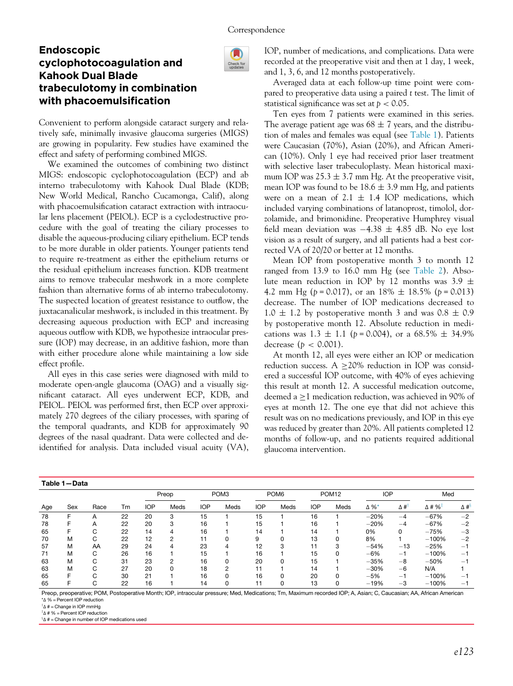LD Check for<br>updates

# Endoscopic cyclophotocoagulation and Kahook Dual Blade trabeculotomy in combination with phacoemulsification

Convenient to perform alongside cataract surgery and relatively safe, minimally invasive glaucoma surgeries (MIGS) are growing in popularity. Few studies have examined the effect and safety of performing combined MIGS.

We examined the outcomes of combining two distinct MIGS: endoscopic cyclophotocoagulation (ECP) and ab interno trabeculotomy with Kahook Dual Blade (KDB; New World Medical, Rancho Cucamonga, Calif), along with phacoemulsification cataract extraction with intraocular lens placement (PEIOL). ECP is a cyclodestructive procedure with the goal of treating the ciliary processes to disable the aqueous-producing ciliary epithelium. ECP tends to be more durable in older patients. Younger patients tend to require re-treatment as either the epithelium returns or the residual epithelium increases function. KDB treatment aims to remove trabecular meshwork in a more complete fashion than alternative forms of ab interno trabeculotomy. The suspected location of greatest resistance to outflow, the juxtacanalicular meshwork, is included in this treatment. By decreasing aqueous production with ECP and increasing aqueous outflow with KDB, we hypothesize intraocular pressure (IOP) may decrease, in an additive fashion, more than with either procedure alone while maintaining a low side effect profile.

All eyes in this case series were diagnosed with mild to moderate open-angle glaucoma (OAG) and a visually significant cataract. All eyes underwent ECP, KDB, and PEIOL. PEIOL was performed first, then ECP over approximately 270 degrees of the ciliary processes, with sparing of the temporal quadrants, and KDB for approximately 90 degrees of the nasal quadrant. Data were collected and deidentified for analysis. Data included visual acuity (VA), IOP, number of medications, and complications. Data were recorded at the preoperative visit and then at 1 day, 1 week, and 1, 3, 6, and 12 months postoperatively.

Averaged data at each follow-up time point were compared to preoperative data using a paired t test. The limit of statistical significance was set at  $p < 0.05$ .

Ten eyes from 7 patients were examined in this series. The average patient age was  $68 \pm 7$  years, and the distribution of males and females was equal (see [Table 1](#page-0-0)). Patients were Caucasian (70%), Asian (20%), and African American (10%). Only 1 eye had received prior laser treatment with selective laser trabeculoplasty. Mean historical maximum IOP was  $25.3 \pm 3.7$  mm Hg. At the preoperative visit, mean IOP was found to be  $18.6 \pm 3.9$  mm Hg, and patients were on a mean of  $2.1 \pm 1.4$  IOP medications, which included varying combinations of latanoprost, timolol, dorzolamide, and brimonidine. Preoperative Humphrey visual field mean deviation was  $-4.38 \pm 4.85$  dB. No eye lost vision as a result of surgery, and all patients had a best corrected VA of 20/20 or better at 12 months.

Mean IOP from postoperative month 3 to month 12 ranged from 13.9 to 16.0 mm Hg (see [Table 2](#page-1-0)). Absolute mean reduction in IOP by 12 months was 3.9  $\pm$ 4.2 mm Hg ( $p = 0.017$ ), or an 18%  $\pm$  18.5% ( $p = 0.013$ ) decrease. The number of IOP medications decreased to  $1.0 \pm 1.2$  by postoperative month 3 and was  $0.8 \pm 0.9$ by postoperative month 12. Absolute reduction in medications was  $1.3 \pm 1.1$  (p = 0.004), or a 68.5%  $\pm$  34.9% decrease ( $p < 0.001$ ).

At month 12, all eyes were either an IOP or medication reduction success.  $A \geq 20\%$  reduction in IOP was considered a successful IOP outcome, with 40% of eyes achieving this result at month 12. A successful medication outcome, deemed a  $\geq$ 1 medication reduction, was achieved in 90% of eyes at month 12. The one eye that did not achieve this result was on no medications previously, and IOP in this eye was reduced by greater than 20%. All patients completed 12 months of follow-up, and no patients required additional glaucoma intervention.

<span id="page-0-0"></span>

| Table 1-Data |     |      |    |            |          |                  |                |                  |              |                   |      |            |            |                           |                         |
|--------------|-----|------|----|------------|----------|------------------|----------------|------------------|--------------|-------------------|------|------------|------------|---------------------------|-------------------------|
|              |     |      |    | Preop      |          | POM <sub>3</sub> |                | POM <sub>6</sub> |              | POM <sub>12</sub> |      | <b>IOP</b> |            | Med                       |                         |
| Age          | Sex | Race | Tm | <b>IOP</b> | Meds     | <b>IOP</b>       | Meds           | <b>IOP</b>       | Meds         | <b>IOP</b>        | Meds | Δ%*        | $\Delta$ # | $\Delta$ # % <sup>+</sup> | $\Delta$ # <sup>3</sup> |
| 78           | ᆮ   | A    | 22 | 20         | 3        | 15               |                | 15               |              | 16                |      | $-20%$     | $-4$       | $-67%$                    | $-2$                    |
| 78           | F   | Α    | 22 | 20         | 3        | 16               |                | 15               |              | 16                |      | $-20%$     | $-4$       | $-67%$                    | $-2$                    |
| 65           |     | C    | 22 | 14         | 4        | 16               |                | 14               |              | 14                |      | 0%         | 0          | $-75%$                    | $-3$                    |
| 70           | м   | C    | 22 | 12         | 2        | 11               | 0              | 9                |              | 13                |      | 8%         |            | $-100%$                   | $-2$                    |
| 57           | M   | AA   | 29 | 24         | 4        | 23               | 4              | 12               | 3            | 11                |      | $-54%$     | $-13$      | $-25%$                    | $-1$                    |
| 71           | M   | C    | 26 | 16         |          | 15               |                | 16               |              | 15                |      | $-6%$      | $-1$       | $-100%$                   | -1                      |
| 63           | м   | C    | 31 | 23         | 2        | 16               | $\Omega$       | 20               | <sup>0</sup> | 15                |      | $-35%$     | $-8$       | $-50%$                    | $-1$                    |
| 63           | M   | C    | 27 | 20         | $\Omega$ | 18               | $\overline{2}$ |                  |              | 14                |      | $-30%$     | $-6$       | N/A                       |                         |
| 65           | F   | C    | 30 | 21         |          | 16               | $\Omega$       | 16               | <sup>0</sup> | 20                |      | $-5%$      | $-1$       | $-100%$                   | -1                      |
| 65           |     | C    | 22 | 16         |          | 14               | 0              |                  |              | 13                |      | $-19%$     | $-3$       | $-100%$                   | -1                      |

<span id="page-0-1"></span>Preop, preoperative; POM, Postoperative Month; IOP, intraocular pressure; Med, Medications; Tm, Maximum recorded IOP; A, Asian; C, Caucasian; AA, African American \*Δ % = Percent IOP reduction

<span id="page-0-2"></span> $\mathbb{I} \Delta$  # = Change in IOP mmHg

<span id="page-0-3"></span> ${}^{\mathsf{T}}\Delta$  # % = Percent IOP reduction

 $^{\text{\tiny{8}}\Delta}$  # = Change in number of IOP medications used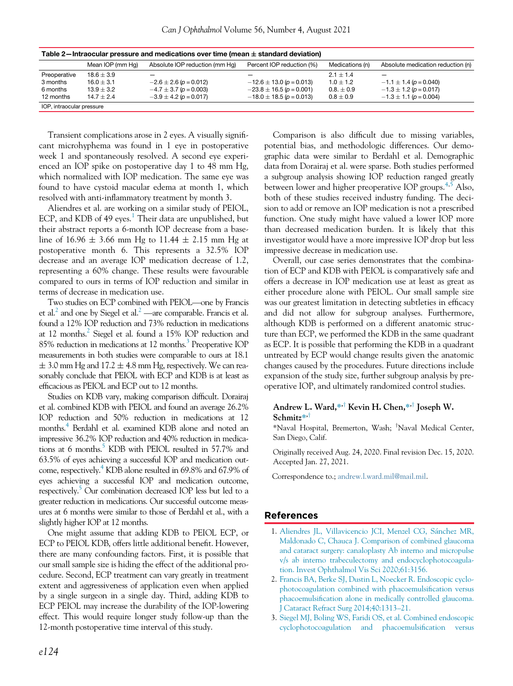<span id="page-1-0"></span>

| Table 2—Intraocular pressure and medications over time (mean $\pm$ standard deviation) |                  |                                |                              |                 |                                   |  |  |  |  |
|----------------------------------------------------------------------------------------|------------------|--------------------------------|------------------------------|-----------------|-----------------------------------|--|--|--|--|
|                                                                                        | Mean IOP (mm Hg) | Absolute IOP reduction (mm Hg) | Percent IOP reduction (%)    | Medications (n) | Absolute medication reduction (n) |  |  |  |  |
| Preoperative                                                                           | $18.6 + 3.9$     |                                |                              | $2.1 + 1.4$     |                                   |  |  |  |  |
| 3 months                                                                               | $16.0 + 3.1$     | $-2.6 \pm 2.6$ (p = 0.012)     | $-12.6 \pm 13.0$ (p = 0.013) | $1.0 + 1.2$     | $-1.1 \pm 1.4$ (p = 0.040)        |  |  |  |  |
| 6 months                                                                               | $13.9 + 3.2$     | $-4.7 \pm 3.7$ (p = 0.003)     | $-23.8 \pm 16.5$ (p = 0.001) | $0.8. \pm 0.9$  | $-1.3 \pm 1.2$ (p = 0.017)        |  |  |  |  |
| 12 months                                                                              | $14.7 + 2.4$     | $-3.9 \pm 4.2$ (p = 0.017)     | $-18.0 \pm 18.5$ (p = 0.013) | $0.8 \pm 0.9$   | $-1.3 \pm 1.1$ (p = 0.004)        |  |  |  |  |
| IOP, intraocular pressure                                                              |                  |                                |                              |                 |                                   |  |  |  |  |

Transient complications arose in 2 eyes. A visually significant microhyphema was found in 1 eye in postoperative week 1 and spontaneously resolved. A second eye experienced an IOP spike on postoperative day 1 to 48 mm Hg, which normalized with IOP medication. The same eye was found to have cystoid macular edema at month 1, which resolved with anti-inflammatory treatment by month 3.

Aliendres et al. are working on a similar study of PEIOL, ECP, and KDB of 49 eyes.<sup>[1](#page-1-1)</sup> Their data are unpublished, but their abstract reports a 6-month IOP decrease from a baseline of 16.96  $\pm$  3.66 mm Hg to 11.44  $\pm$  2.15 mm Hg at postoperative month 6. This represents a 32.5% IOP decrease and an average IOP medication decrease of 1.2, representing a 60% change. These results were favourable compared to ours in terms of IOP reduction and similar in terms of decrease in medication use.

Two studies on ECP combined with PEIOL—one by Francis et al.<sup>2</sup> and one by Siegel et al.<sup>2</sup> —are comparable. Francis et al. found a 12% IOP reduction and 73% reduction in medications at 12 months.<sup>2</sup> Siegel et al. found a 15% IOP reduction and 85% reduction in medications at 12 months.<sup>3</sup> Preoperative IOP measurements in both studies were comparable to ours at 18.1  $\pm$  3.0 mm Hg and 17.2  $\pm$  4.8 mm Hg, respectively. We can reasonably conclude that PEIOL with ECP and KDB is at least as efficacious as PEIOL and ECP out to 12 months.

Studies on KDB vary, making comparison difficult. Dorairaj et al. combined KDB with PEIOL and found an average 26.2% IOP reduction and 50% reduction in medications at 12 months.<sup>4</sup> Berdahl et al. examined KDB alone and noted an impressive 36.2% IOP reduction and 40% reduction in medications at 6 months.<sup>5</sup> KDB with PEIOL resulted in 57.7% and 63.5% of eyes achieving a successful IOP and medication outcome, respectively[.4](#page-2-0) KDB alone resulted in 69.8% and 67.9% of eyes achieving a successful IOP and medication outcome, respectively.<sup>5</sup> Our combination decreased IOP less but led to a greater reduction in medications. Our successful outcome measures at 6 months were similar to those of Berdahl et al., with a slightly higher IOP at 12 months.

<span id="page-1-3"></span><span id="page-1-2"></span><span id="page-1-1"></span>One might assume that adding KDB to PEIOL ECP, or ECP to PEIOL KDB, offers little additional benefit. However, there are many confounding factors. First, it is possible that our small sample size is hiding the effect of the additional procedure. Second, ECP treatment can vary greatly in treatment extent and aggressiveness of application even when applied by a single surgeon in a single day. Third, adding KDB to ECP PEIOL may increase the durability of the IOP-lowering effect. This would require longer study follow-up than the 12-month postoperative time interval of this study.

Comparison is also difficult due to missing variables, potential bias, and methodologic differences. Our demographic data were similar to Berdahl et al. Demographic data from Dorairaj et al. were sparse. Both studies performed a subgroup analysis showing IOP reduction ranged greatly between lower and higher preoperative IOP groups.<sup>[4](#page-2-0)[,5](#page-2-1)</sup> Also, both of these studies received industry funding. The decision to add or remove an IOP medication is not a prescribed function. One study might have valued a lower IOP more than decreased medication burden. It is likely that this investigator would have a more impressive IOP drop but less impressive decrease in medication use.

Overall, our case series demonstrates that the combination of ECP and KDB with PEIOL is comparatively safe and offers a decrease in IOP medication use at least as great as either procedure alone with PEIOL. Our small sample size was our greatest limitation in detecting subtleties in efficacy and did not allow for subgroup analyses. Furthermore, although KDB is performed on a different anatomic structure than ECP, we performed the KDB in the same quadrant as ECP. It is possible that performing the KDB in a quadrant untreated by ECP would change results given the anatomic changes caused by the procedures. Future directions include expansion of the study size, further subgroup analysis by preoperative IOP, and ultimately randomized control studies.

## Andrew L. Ward,  $*$ <sup>†</sup> Kevin H. Chen,  $*$ <sup>†</sup> Joseph W.  $Schmitz^{*}$

\*Naval Hospital, Bremerton, Wash; <sup>†</sup>Naval Medical Center, San Diego, Calif.

Originally received Aug. 24, 2020. Final revision Dec. 15, 2020. Accepted Jan. 27, 2021.

Correspondence to.; [andrew.l.ward.mil@mail.mil.](mailto:andrew.l.ward.mil@mail.mil)

### References

- 1. [Aliendres JL, Villavicencio JCI, Menzel CG, S](http://refhub.elsevier.com/S0008-4182(21)00020-X/sbref0001_2077)á[nchez MR,](http://refhub.elsevier.com/S0008-4182(21)00020-X/sbref0001_2077) [Maldonado C, Chauca J. Comparison of combined glaucoma](http://refhub.elsevier.com/S0008-4182(21)00020-X/sbref0001_2077) [and cataract surgery: canaloplasty Ab interno and micropulse](http://refhub.elsevier.com/S0008-4182(21)00020-X/sbref0001_2077) [v/s ab interno trabeculectomy and endocyclophotocoagula](http://refhub.elsevier.com/S0008-4182(21)00020-X/sbref0001_2077)[tion. Invest Ophthalmol Vis Sci 2020;61:3156.](http://refhub.elsevier.com/S0008-4182(21)00020-X/sbref0001_2077)
- 2. [Francis BA, Berke SJ, Dustin L, Noecker R. Endoscopic cyclo](http://refhub.elsevier.com/S0008-4182(21)00020-X/sbref0002_2077)[photocoagulation combined with phacoemulsi](http://refhub.elsevier.com/S0008-4182(21)00020-X/sbref0002_2077)fication versus phacoemulsifi[cation alone in medically controlled glaucoma.](http://refhub.elsevier.com/S0008-4182(21)00020-X/sbref0002_2077) [J Cataract Refract Surg 2014;40:1313](http://refhub.elsevier.com/S0008-4182(21)00020-X/sbref0002_2077)–21.
- 3. [Siegel MJ, Boling WS, Faridi OS, et al. Combined endoscopic](http://refhub.elsevier.com/S0008-4182(21)00020-X/sbref0003_2077) [cyclophotocoagulation and phacoemulsi](http://refhub.elsevier.com/S0008-4182(21)00020-X/sbref0003_2077)fication versus